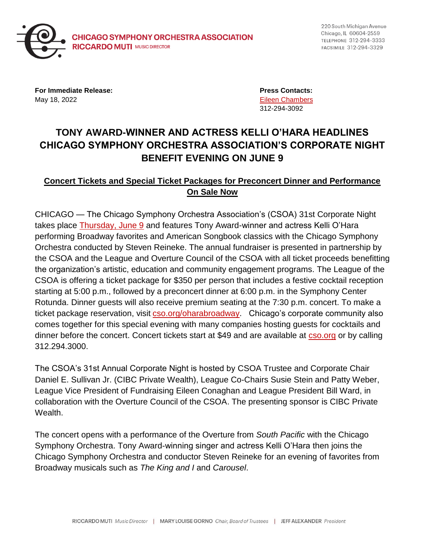

220 South Michigan Avenue Chicago, IL 60604-2559 TELEPHONE 312-294-3333 FACSIMILE 312-294-3329

**For Immediate Release: Press Contacts:** May 18, 2022 [Eileen Chambers](mailto:chamberse@cso.org)

312-294-3092

## **TONY AWARD-WINNER AND ACTRESS KELLI O'HARA HEADLINES CHICAGO SYMPHONY ORCHESTRA ASSOCIATION'S CORPORATE NIGHT BENEFIT EVENING ON JUNE 9**

## **Concert Tickets and Special Ticket Packages for Preconcert Dinner and Performance On Sale Now**

CHICAGO — The Chicago Symphony Orchestra Association's (CSOA) 31st Corporate Night takes place **Thursday, June 9** and features Tony Award-winner and actress Kelli O'Hara performing Broadway favorites and American Songbook classics with the Chicago Symphony Orchestra conducted by Steven Reineke. The annual fundraiser is presented in partnership by the CSOA and the League and Overture Council of the CSOA with all ticket proceeds benefitting the organization's artistic, education and community engagement programs. The League of the CSOA is offering a ticket package for \$350 per person that includes a festive cocktail reception starting at 5:00 p.m., followed by a preconcert dinner at 6:00 p.m. in the Symphony Center Rotunda. Dinner guests will also receive premium seating at the 7:30 p.m. concert. To make a ticket package reservation, visit [cso.org/oharabroadway.](https://cso.org/oharabroadway) Chicago's corporate community also comes together for this special evening with many companies hosting guests for cocktails and dinner before the concert. Concert tickets start at \$49 and are available at [cso.org](https://cso.org/) or by calling 312.294.3000.

The CSOA's 31st Annual Corporate Night is hosted by CSOA Trustee and Corporate Chair Daniel E. Sullivan Jr. (CIBC Private Wealth), League Co-Chairs Susie Stein and Patty Weber, League Vice President of Fundraising Eileen Conaghan and League President Bill Ward, in collaboration with the Overture Council of the CSOA. The presenting sponsor is CIBC Private Wealth.

The concert opens with a performance of the Overture from *South Pacific* with the Chicago Symphony Orchestra. Tony Award-winning singer and actress Kelli O'Hara then joins the Chicago Symphony Orchestra and conductor Steven Reineke for an evening of favorites from Broadway musicals such as *The King and I* and *Carousel*.